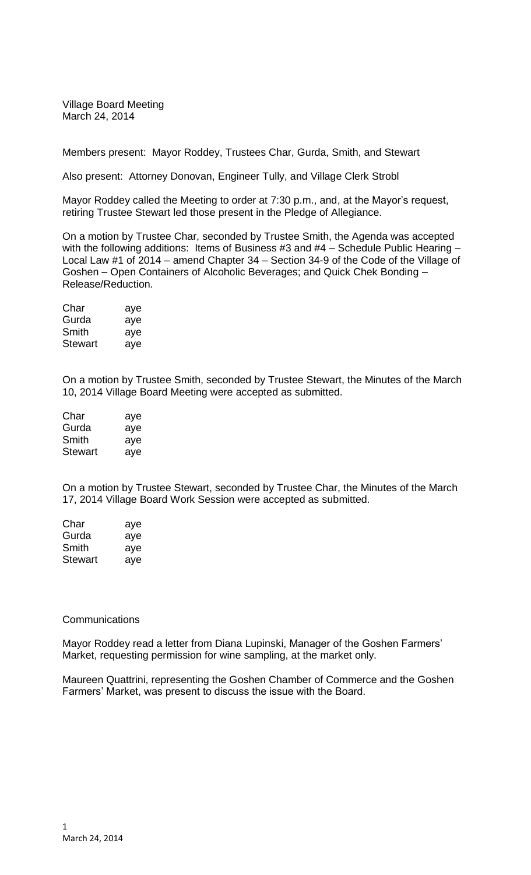Village Board Meeting March 24, 2014

Members present: Mayor Roddey, Trustees Char, Gurda, Smith, and Stewart

Also present: Attorney Donovan, Engineer Tully, and Village Clerk Strobl

Mayor Roddey called the Meeting to order at 7:30 p.m., and, at the Mayor's request, retiring Trustee Stewart led those present in the Pledge of Allegiance.

On a motion by Trustee Char, seconded by Trustee Smith, the Agenda was accepted with the following additions: Items of Business #3 and #4 – Schedule Public Hearing – Local Law #1 of 2014 – amend Chapter 34 – Section 34-9 of the Code of the Village of Goshen – Open Containers of Alcoholic Beverages; and Quick Chek Bonding – Release/Reduction.

| Char           | aye |
|----------------|-----|
| Gurda          | aye |
| Smith          | aye |
| <b>Stewart</b> | aye |

On a motion by Trustee Smith, seconded by Trustee Stewart, the Minutes of the March 10, 2014 Village Board Meeting were accepted as submitted.

| Char           | aye |
|----------------|-----|
| Gurda          | aye |
| Smith          | aye |
| <b>Stewart</b> | aye |

On a motion by Trustee Stewart, seconded by Trustee Char, the Minutes of the March 17, 2014 Village Board Work Session were accepted as submitted.

| Char    | aye |
|---------|-----|
| Gurda   | aye |
| Smith   | aye |
| Stewart | aye |

### **Communications**

Mayor Roddey read a letter from Diana Lupinski, Manager of the Goshen Farmers' Market, requesting permission for wine sampling, at the market only.

Maureen Quattrini, representing the Goshen Chamber of Commerce and the Goshen Farmers' Market, was present to discuss the issue with the Board.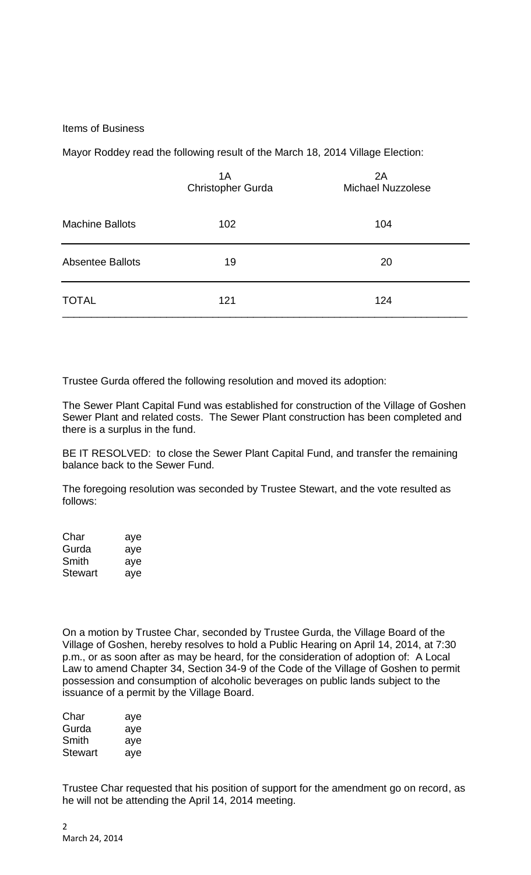## Items of Business

Mayor Roddey read the following result of the March 18, 2014 Village Election:

|                         | 1A<br>Christopher Gurda | 2A<br><b>Michael Nuzzolese</b> |
|-------------------------|-------------------------|--------------------------------|
| <b>Machine Ballots</b>  | 102                     | 104                            |
| <b>Absentee Ballots</b> | 19                      | 20                             |
| <b>TOTAL</b>            | 121                     | 124                            |

Trustee Gurda offered the following resolution and moved its adoption:

The Sewer Plant Capital Fund was established for construction of the Village of Goshen Sewer Plant and related costs. The Sewer Plant construction has been completed and there is a surplus in the fund.

BE IT RESOLVED: to close the Sewer Plant Capital Fund, and transfer the remaining balance back to the Sewer Fund.

The foregoing resolution was seconded by Trustee Stewart, and the vote resulted as follows:

| Char    | aye |
|---------|-----|
| Gurda   | aye |
| Smith   | aye |
| Stewart | ave |

On a motion by Trustee Char, seconded by Trustee Gurda, the Village Board of the Village of Goshen, hereby resolves to hold a Public Hearing on April 14, 2014, at 7:30 p.m., or as soon after as may be heard, for the consideration of adoption of: A Local Law to amend Chapter 34, Section 34-9 of the Code of the Village of Goshen to permit possession and consumption of alcoholic beverages on public lands subject to the issuance of a permit by the Village Board.

| Char    | aye |
|---------|-----|
| Gurda   | aye |
| Smith   | aye |
| Stewart | ave |

Trustee Char requested that his position of support for the amendment go on record, as he will not be attending the April 14, 2014 meeting.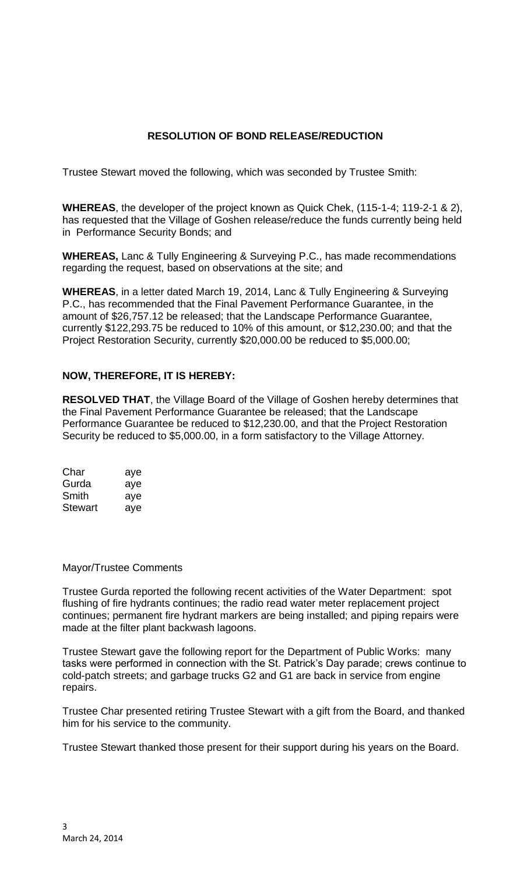# **RESOLUTION OF BOND RELEASE/REDUCTION**

Trustee Stewart moved the following, which was seconded by Trustee Smith:

**WHEREAS**, the developer of the project known as Quick Chek, (115-1-4; 119-2-1 & 2), has requested that the Village of Goshen release/reduce the funds currently being held in Performance Security Bonds; and

**WHEREAS,** Lanc & Tully Engineering & Surveying P.C., has made recommendations regarding the request, based on observations at the site; and

**WHEREAS**, in a letter dated March 19, 2014, Lanc & Tully Engineering & Surveying P.C., has recommended that the Final Pavement Performance Guarantee, in the amount of \$26,757.12 be released; that the Landscape Performance Guarantee, currently \$122,293.75 be reduced to 10% of this amount, or \$12,230.00; and that the Project Restoration Security, currently \$20,000.00 be reduced to \$5,000.00;

# **NOW, THEREFORE, IT IS HEREBY:**

**RESOLVED THAT**, the Village Board of the Village of Goshen hereby determines that the Final Pavement Performance Guarantee be released; that the Landscape Performance Guarantee be reduced to \$12,230.00, and that the Project Restoration Security be reduced to \$5,000.00, in a form satisfactory to the Village Attorney.

| Char    | aye |
|---------|-----|
| Gurda   | aye |
| Smith   | aye |
| Stewart | aye |

### Mayor/Trustee Comments

Trustee Gurda reported the following recent activities of the Water Department: spot flushing of fire hydrants continues; the radio read water meter replacement project continues; permanent fire hydrant markers are being installed; and piping repairs were made at the filter plant backwash lagoons.

Trustee Stewart gave the following report for the Department of Public Works: many tasks were performed in connection with the St. Patrick's Day parade; crews continue to cold-patch streets; and garbage trucks G2 and G1 are back in service from engine repairs.

Trustee Char presented retiring Trustee Stewart with a gift from the Board, and thanked him for his service to the community.

Trustee Stewart thanked those present for their support during his years on the Board.